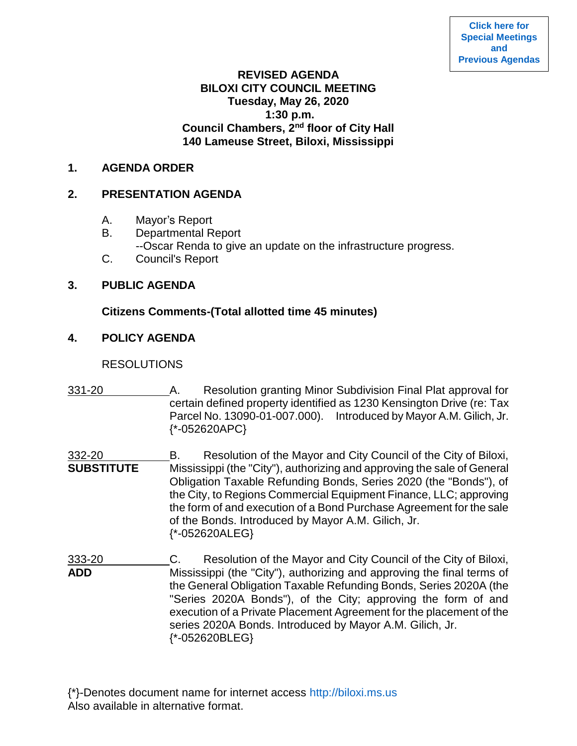## **REVISED AGENDA BILOXI CITY COUNCIL MEETING Tuesday, May 26, 2020 1:30 p.m. Council Chambers, 2nd floor of City Hall 140 Lameuse Street, Biloxi, Mississippi**

### **1. AGENDA ORDER**

# **2. PRESENTATION AGENDA**

- A. Mayor's Report
- B. Departmental Report
- --Oscar Renda to give an update on the infrastructure progress.
- C. Council's Report

# **3. PUBLIC AGENDA**

## **Citizens Comments-(Total allotted time 45 minutes)**

## **4. POLICY AGENDA**

## **RESOLUTIONS**

- 331-20 A. Resolution granting Minor Subdivision Final Plat approval for certain defined property identified as 1230 Kensington Drive (re: Tax Parcel No. 13090-01-007.000). Introduced by Mayor A.M. Gilich, Jr. {\*-052620APC}
- 332-20 **B.** Resolution of the Mayor and City Council of the City of Biloxi, **SUBSTITUTE** Mississippi (the "City"), authorizing and approving the sale of General Obligation Taxable Refunding Bonds, Series 2020 (the "Bonds"), of the City, to Regions Commercial Equipment Finance, LLC; approving the form of and execution of a Bond Purchase Agreement for the sale of the Bonds. Introduced by Mayor A.M. Gilich, Jr. {\*-052620ALEG}
- 333-20 C. Resolution of the Mayor and City Council of the City of Biloxi, **ADD** Mississippi (the "City"), authorizing and approving the final terms of the General Obligation Taxable Refunding Bonds, Series 2020A (the "Series 2020A Bonds"), of the City; approving the form of and execution of a Private Placement Agreement for the placement of the series 2020A Bonds. Introduced by Mayor A.M. Gilich, Jr. {\*-052620BLEG}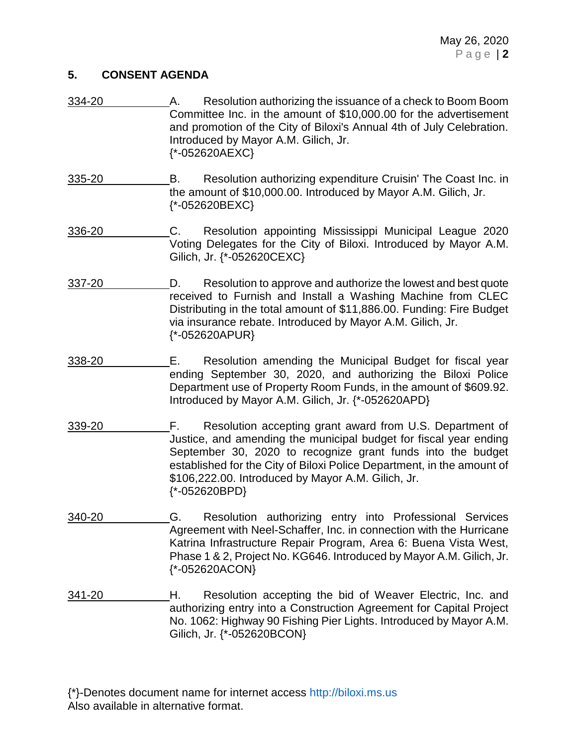#### **5. CONSENT AGENDA**

- 334-20 A. Resolution authorizing the issuance of a check to Boom Boom Committee Inc. in the amount of \$10,000.00 for the advertisement and promotion of the City of Biloxi's Annual 4th of July Celebration. Introduced by Mayor A.M. Gilich, Jr. {\*-052620AEXC}
- 335-20 B. Resolution authorizing expenditure Cruisin' The Coast Inc. in the amount of \$10,000.00. Introduced by Mayor A.M. Gilich, Jr. {\*-052620BEXC}
- 336-20 C. Resolution appointing Mississippi Municipal League 2020 Voting Delegates for the City of Biloxi. Introduced by Mayor A.M. Gilich, Jr. {\*-052620CEXC}
- 337-20 D. Resolution to approve and authorize the lowest and best quote received to Furnish and Install a Washing Machine from CLEC Distributing in the total amount of \$11,886.00. Funding: Fire Budget via insurance rebate. Introduced by Mayor A.M. Gilich, Jr. {\*-052620APUR}
- 338-20 E. Resolution amending the Municipal Budget for fiscal year ending September 30, 2020, and authorizing the Biloxi Police Department use of Property Room Funds, in the amount of \$609.92. Introduced by Mayor A.M. Gilich, Jr. {\*-052620APD}
- 339-20 F. Resolution accepting grant award from U.S. Department of Justice, and amending the municipal budget for fiscal year ending September 30, 2020 to recognize grant funds into the budget established for the City of Biloxi Police Department, in the amount of \$106,222.00. Introduced by Mayor A.M. Gilich, Jr.  $\{*-052620BPD\}$
- 340-20 G. Resolution authorizing entry into Professional Services Agreement with Neel-Schaffer, Inc. in connection with the Hurricane Katrina Infrastructure Repair Program, Area 6: Buena Vista West, Phase 1 & 2, Project No. KG646. Introduced by Mayor A.M. Gilich, Jr. {\*-052620ACON}
- 341-20 **H.** Resolution accepting the bid of Weaver Electric, Inc. and authorizing entry into a Construction Agreement for Capital Project No. 1062: Highway 90 Fishing Pier Lights. Introduced by Mayor A.M. Gilich, Jr. {\*-052620BCON}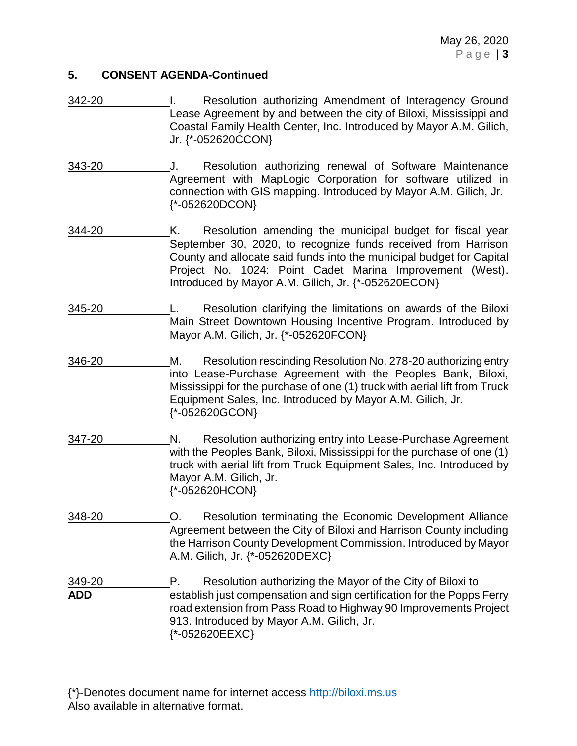#### **5. CONSENT AGENDA-Continued**

- 342-20 I. Resolution authorizing Amendment of Interagency Ground Lease Agreement by and between the city of Biloxi, Mississippi and Coastal Family Health Center, Inc. Introduced by Mayor A.M. Gilich, Jr. {\*-052620CCON}
- 343-20 J. Resolution authorizing renewal of Software Maintenance Agreement with MapLogic Corporation for software utilized in connection with GIS mapping. Introduced by Mayor A.M. Gilich, Jr. {\*-052620DCON}
- 344-20 K. Resolution amending the municipal budget for fiscal year September 30, 2020, to recognize funds received from Harrison County and allocate said funds into the municipal budget for Capital Project No. 1024: Point Cadet Marina Improvement (West). Introduced by Mayor A.M. Gilich, Jr. {\*-052620ECON}
- 345-20 L. Resolution clarifying the limitations on awards of the Biloxi Main Street Downtown Housing Incentive Program. Introduced by Mayor A.M. Gilich, Jr. {\*-052620FCON}
- 346-20 M. Resolution rescinding Resolution No. 278-20 authorizing entry into Lease-Purchase Agreement with the Peoples Bank, Biloxi, Mississippi for the purchase of one (1) truck with aerial lift from Truck Equipment Sales, Inc. Introduced by Mayor A.M. Gilich, Jr. {\*-052620GCON}
- 347-20 N. Resolution authorizing entry into Lease-Purchase Agreement with the Peoples Bank, Biloxi, Mississippi for the purchase of one (1) truck with aerial lift from Truck Equipment Sales, Inc. Introduced by Mayor A.M. Gilich, Jr. {\*-052620HCON}
- 348-20 O. Resolution terminating the Economic Development Alliance Agreement between the City of Biloxi and Harrison County including the Harrison County Development Commission. Introduced by Mayor A.M. Gilich, Jr. {\*-052620DEXC}

349-20 P. Resolution authorizing the Mayor of the City of Biloxi to **ADD** establish just compensation and sign certification for the Popps Ferry road extension from Pass Road to Highway 90 Improvements Project 913. Introduced by Mayor A.M. Gilich, Jr. {\*-052620EEXC}

{\*}-Denotes document name for internet access [http://biloxi.ms.us](http://biloxi.ms.us/) Also available in alternative format.